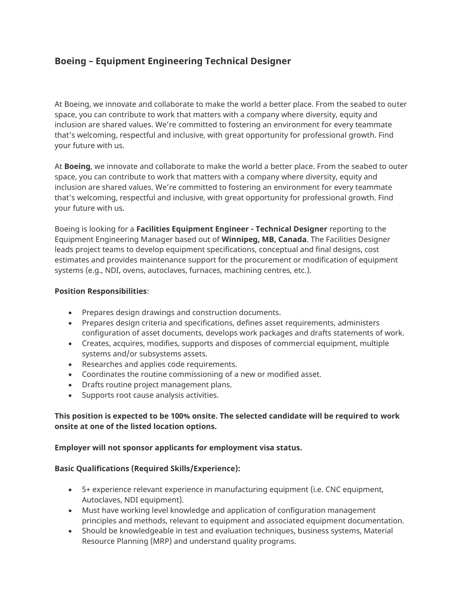# **Boeing – Equipment Engineering Technical Designer**

At Boeing, we innovate and collaborate to make the world a better place. From the seabed to outer space, you can contribute to work that matters with a company where diversity, equity and inclusion are shared values. We're committed to fostering an environment for every teammate that's welcoming, respectful and inclusive, with great opportunity for professional growth. Find your future with us.

At **Boeing**, we innovate and collaborate to make the world a better place. From the seabed to outer space, you can contribute to work that matters with a company where diversity, equity and inclusion are shared values. We're committed to fostering an environment for every teammate that's welcoming, respectful and inclusive, with great opportunity for professional growth. Find your future with us.

Boeing is looking for a **Facilities Equipment Engineer - Technical Designer** reporting to the Equipment Engineering Manager based out of **Winnipeg, MB, Canada**. The Facilities Designer leads project teams to develop equipment specifications, conceptual and final designs, cost estimates and provides maintenance support for the procurement or modification of equipment systems (e.g., NDI, ovens, autoclaves, furnaces, machining centres, etc.).

## **Position Responsibilities**:

- Prepares design drawings and construction documents.
- Prepares design criteria and specifications, defines asset requirements, administers configuration of asset documents, develops work packages and drafts statements of work.
- Creates, acquires, modifies, supports and disposes of commercial equipment, multiple systems and/or subsystems assets.
- Researches and applies code requirements.
- Coordinates the routine commissioning of a new or modified asset.
- Drafts routine project management plans.
- Supports root cause analysis activities.

# **This position is expected to be 100% onsite. The selected candidate will be required to work onsite at one of the listed location options.**

# **Employer will not sponsor applicants for employment visa status.**

## **Basic Qualifications (Required Skills/Experience):**

- 5+ experience relevant experience in manufacturing equipment (i.e. CNC equipment, Autoclaves, NDI equipment).
- Must have working level knowledge and application of configuration management principles and methods, relevant to equipment and associated equipment documentation.
- Should be knowledgeable in test and evaluation techniques, business systems, Material Resource Planning (MRP) and understand quality programs.